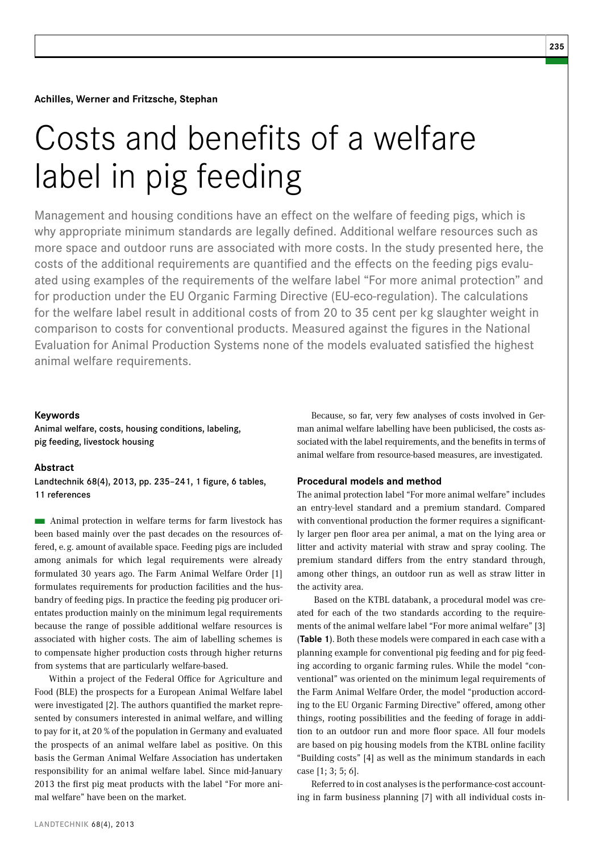**Achilles, Werner and Fritzsche, Stephan** 

# Costs and benefits of a welfare label in pig feeding

Management and housing conditions have an effect on the welfare of feeding pigs, which is why appropriate minimum standards are legally defined. Additional welfare resources such as more space and outdoor runs are associated with more costs. In the study presented here, the costs of the additional requirements are quantified and the effects on the feeding pigs evaluated using examples of the requirements of the welfare label "For more animal protection" and for production under the EU Organic Farming Directive (EU-eco-regulation). The calculations for the welfare label result in additional costs of from 20 to 35 cent per kg slaughter weight in comparison to costs for conventional products. Measured against the figures in the National Evaluation for Animal Production Systems none of the models evaluated satisfied the highest animal welfare requirements.

# **Keywords**

Animal welfare, costs, housing conditions, labeling, pig feeding, livestock housing

#### **Abstract**

Landtechnik 68(4), 2013, pp. 235–241, 1 figure, 6 tables, 11 references

 $\blacksquare$  Animal protection in welfare terms for farm livestock has been based mainly over the past decades on the resources offered, e. g. amount of available space. Feeding pigs are included among animals for which legal requirements were already formulated 30 years ago. The Farm Animal Welfare Order [1] formulates requirements for production facilities and the husbandry of feeding pigs. In practice the feeding pig producer orientates production mainly on the minimum legal requirements because the range of possible additional welfare resources is associated with higher costs. The aim of labelling schemes is to compensate higher production costs through higher returns from systems that are particularly welfare-based.

Within a project of the Federal Office for Agriculture and Food (BLE) the prospects for a European Animal Welfare label were investigated [2]. The authors quantified the market represented by consumers interested in animal welfare, and willing to pay for it, at 20 % of the population in Germany and evaluated the prospects of an animal welfare label as positive. On this basis the German Animal Welfare Association has undertaken responsibility for an animal welfare label. Since mid-January 2013 the first pig meat products with the label "For more animal welfare" have been on the market.

Because, so far, very few analyses of costs involved in German animal welfare labelling have been publicised, the costs associated with the label requirements, and the benefits in terms of animal welfare from resource-based measures, are investigated.

# **Procedural models and method**

The animal protection label "For more animal welfare" includes an entry-level standard and a premium standard. Compared with conventional production the former requires a significantly larger pen floor area per animal, a mat on the lying area or litter and activity material with straw and spray cooling. The premium standard differs from the entry standard through, among other things, an outdoor run as well as straw litter in the activity area.

 Based on the KTBL databank, a procedural model was created for each of the two standards according to the requirements of the animal welfare label "For more animal welfare" [3] (**Table 1**). Both these models were compared in each case with a planning example for conventional pig feeding and for pig feeding according to organic farming rules. While the model "conventional" was oriented on the minimum legal requirements of the Farm Animal Welfare Order, the model "production according to the EU Organic Farming Directive" offered, among other things, rooting possibilities and the feeding of forage in addition to an outdoor run and more floor space. All four models are based on pig housing models from the KTBL online facility "Building costs" [4] as well as the minimum standards in each case [1; 3; 5; 6].

Referred to in cost analyses is the performance-cost accounting in farm business planning [7] with all individual costs in-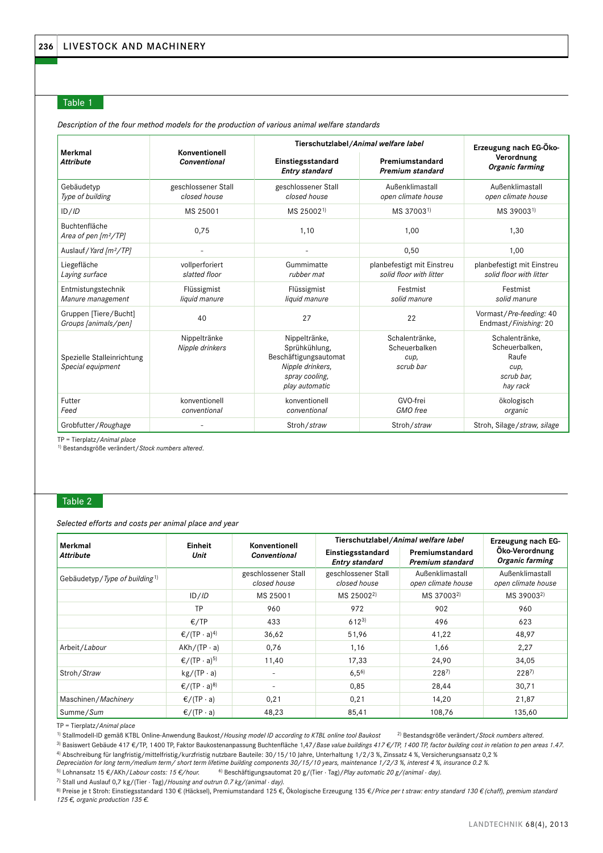# Table 1

**Merkmal** *Attribute* **Konventionell** *Conventional* **Tierschutzlabel/***Animal welfare label* **Erzeugung nach EG-Öko-Verordnung** *Organic farming* **Einstiegsstandard Premiumstandard** *Entry standard Premium standard* Gebäudetyp *Type of building* geschlossener Stall *closed house* geschlossener Stall *closed house* Außenklimastall *open climate house* Außenklimastall *open climate house* ID/*ID* MS 25001 MS 250021) MS 370031) MS 390031) Buchtenfläche *Area of pen [m²/TP]* 0,75 0,75 1,10 1,00 1,30 Auslauf*/Yard [m<sup>2</sup>/TP]* - - - - - - - - - - - - - 0,50 1,00 Liegefläche *Laying surface* vollperforiert *slatted floor* Gummimatte *rubber mat* planbefestigt mit Einstreu *solid floor with litter* planbefestigt mit Einstreu *solid floor with litter* Entmistungstechnik *Manure management* Flüssigmist *liquid manure* Flüssigmist *liquid manure* Festmist *solid manure* Festmist *solid manure* Gruppen [Tiere/Bucht] *Groups [animals/pen]* <sup>40</sup> <sup>27</sup> <sup>22</sup> Vormast/*Pre-feeding:* <sup>40</sup> Endmast/*Finishing:* 20 Spezielle Stalleinrichtung *Special equipment* Nippeltränke *Nipple drinkers* Nippeltränke, Sprühkühlung, Beschäftigungsautomat *Nipple drinkers, spray cooling, play automatic* Schalentränke, Scheuerbalken *cup, scrub bar* Schalentränke, Scheuerbalken, Raufe *cup, scrub bar, hay rack* Futter *Feed* konventionell *conventional* konventionell *conventional* GVO-frei *GMO free* ökologisch *organic* Grobfutter/*Roughage* - Stroh/*straw* Stroh/*straw* Stroh, Silage/*straw, silage*

*Description of the four method models for the production of various animal welfare standards*

TP = Tierplatz/*Animal place*

1) Bestandsgröße verändert/*Stock numbers altered*.

# Table 2

*Selected efforts and costs per animal place and year*

| Merkmal                                   | Einheit<br>Unit                    | Konventionell<br><b>Conventional</b> | Tierschutzlabel/Animal welfare label       | Erzeugung nach EG-                    |                                       |
|-------------------------------------------|------------------------------------|--------------------------------------|--------------------------------------------|---------------------------------------|---------------------------------------|
| <b>Attribute</b>                          |                                    |                                      | Einstiegsstandard<br><b>Entry standard</b> | Premiumstandard<br>Premium standard   | Öko-Verordnung<br>Organic farming     |
| Gebäudetyp/Type of building <sup>1)</sup> |                                    | geschlossener Stall<br>closed house  | geschlossener Stall<br>closed house        | Außenklimastall<br>open climate house | Außenklimastall<br>open climate house |
|                                           | ID/ID                              | MS 25001                             | MS 25002 <sup>2)</sup>                     | MS 37003 <sup>2)</sup>                | MS 39003 <sup>2)</sup>                |
|                                           | TP                                 | 960                                  | 972                                        | 902                                   | 960                                   |
|                                           | €/TP                               | 433                                  | $612^{3}$                                  | 496                                   | 623                                   |
|                                           | $\epsilon$ /(TP · a) <sup>4)</sup> | 36,62                                | 51,96                                      | 41,22                                 | 48,97                                 |
| Arbeit/Labour                             | $AKh/(TP \cdot a)$                 | 0,76                                 | 1,16                                       | 1,66                                  | 2,27                                  |
|                                           | $\epsilon$ /(TP · a) <sup>5)</sup> | 11,40                                | 17,33                                      | 24,90                                 | 34,05                                 |
| Stroh/Straw                               | $kg/(TP \cdot a)$                  |                                      | $6,5^{6}$                                  | $228^{7}$                             | $228^{7}$                             |
|                                           | $\epsilon$ /(TP · a) <sup>8)</sup> |                                      | 0,85                                       | 28,44                                 | 30,71                                 |
| Maschinen/Machinery                       | $\epsilon$ /(TP · a)               | 0,21                                 | 0,21                                       | 14,20                                 | 21,87                                 |
| Summe/Sum                                 | $\epsilon$ /(TP · a)               | 48,23                                | 85,41                                      | 108,76                                | 135,60                                |

TP = Tierplatz/*Animal place*

1) Stallmodell-ID gemäß KTBL Online-Anwendung Baukost/*Housing model ID according to KTBL online tool Baukost* 2) Bestandsgröße verändert/*Stock numbers altered*. 3) Basiswert Gebäude 417 €/TP, 1400 TP, Faktor Baukostenanpassung Buchtenfläche 1,47/*Base value buildings 417 €/TP, 1400 TP, factor building cost in relation to pen areas 1.47.*

4) Abschreibung für langfristig/mittelfristig/kurzfristig nutzbare Bauteile: 30/15/10 Jahre, Unterhaltung 1/2/3 %, Zinssatz 4 %, Versicherungsansatz 0,2 %

*Depreciation for long term/medium term/ short term lifetime building components 30/15/10 years, maintenance 1/2/3 %, interest 4 %, insurance 0.2 %.*

5) Lohnansatz 15 €/AKh/*Labour costs: 15 €/hour.* 6) Beschäftigungsautomat 20 g/(Tier · Tag)/*Play automatic 20 g/(animal · day).*

7) Stall und Auslauf 0,7 kg/(Tier · Tag)/*Housing and outrun 0.7 kg/(animal · day).*

8) Preise je t Stroh: Einstiegsstandard 130 € (Häcksel), Premiumstandard 125 €, Ökologische Erzeugung 135 €/*Price per t straw: entry standard 130 € (chaff), premium standard 125 €, organic production 135 €.*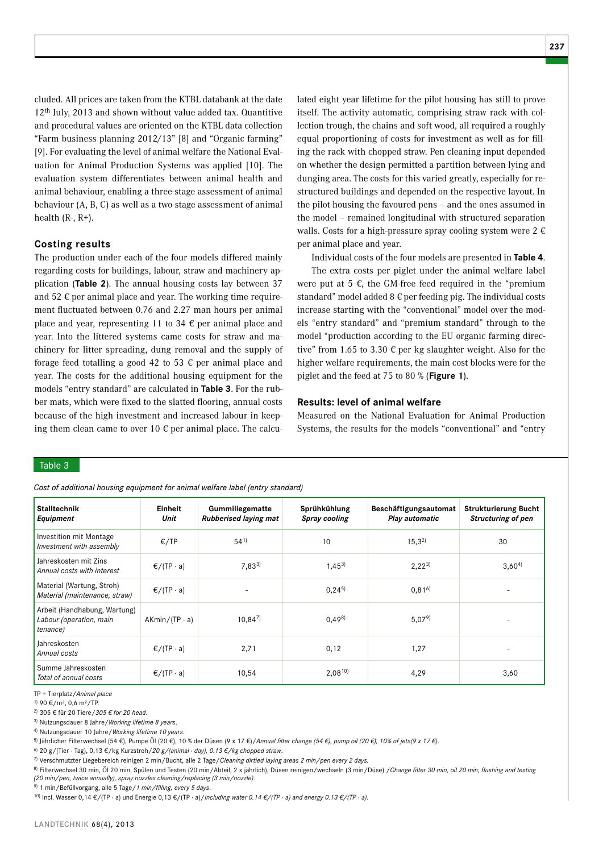cluded. All prices are taken from the KTBL databank at the date 12th July, 2013 and shown without value added tax. Quantitive and procedural values are oriented on the KTBL data collection "Farm business planning 2012/13" [8] and "Organic farming" [9]. For evaluating the level of animal welfare the National Evaluation for Animal Production Systems was applied [10]. The evaluation system differentiates between animal health and animal behaviour, enabling a three-stage assessment of animal behaviour (A, B, C) as well as a two-stage assessment of animal health  $(R-, R+)$ .

# **Costing results**

The production under each of the four models differed mainly regarding costs for buildings, labour, straw and machinery application (**Table 2**). The annual housing costs lay between 37 and 52  $\epsilon$  per animal place and year. The working time requirement fluctuated between 0.76 and 2.27 man hours per animal place and year, representing 11 to 34  $\epsilon$  per animal place and year. Into the littered systems came costs for straw and machinery for litter spreading, dung removal and the supply of forage feed totalling a good 42 to 53  $\epsilon$  per animal place and year. The costs for the additional housing equipment for the models "entry standard" are calculated in **Table 3**. For the rubber mats, which were fixed to the slatted flooring, annual costs because of the high investment and increased labour in keeping them clean came to over 10  $\epsilon$  per animal place. The calculated eight year lifetime for the pilot housing has still to prove itself. The activity automatic, comprising straw rack with collection trough, the chains and soft wood, all required a roughly equal proportioning of costs for investment as well as for filling the rack with chopped straw. Pen cleaning input depended on whether the design permitted a partition between lying and dunging area. The costs for this varied greatly, especially for restructured buildings and depended on the respective layout. In the pilot housing the favoured pens – and the ones assumed in the model – remained longitudinal with structured separation walls. Costs for a high-pressure spray cooling system were  $2 \notin \mathbb{C}$ per animal place and year.

Individual costs of the four models are presented in **Table 4**.

The extra costs per piglet under the animal welfare label were put at 5  $\epsilon$ , the GM-free feed required in the "premium standard" model added  $8 \notin$  per feeding pig. The individual costs increase starting with the "conventional" model over the models "entry standard" and "premium standard" through to the model "production according to the EU organic farming directive" from 1.65 to 3.30  $\epsilon$  per kg slaughter weight. Also for the higher welfare requirements, the main cost blocks were for the piglet and the feed at 75 to 80 % (**Figure 1**).

## **Results: level of animal welfare**

Measured on the National Evaluation for Animal Production Systems, the results for the models "conventional" and "entry

# Table 3

*Cost of additional housing equipment for animal welfare label (entry standard)*

| <b>Stalltechnik</b><br>Equipment                                    | Einheit<br>Unit      | Gummiliegematte<br><b>Rubberised laying mat</b> | Sprühkühlung<br>Spray cooling | Beschäftigungsautomat<br>Play automatic | <b>Strukturierung Bucht</b><br><b>Structuring of pen</b> |
|---------------------------------------------------------------------|----------------------|-------------------------------------------------|-------------------------------|-----------------------------------------|----------------------------------------------------------|
| Investition mit Montage<br>Investment with assembly                 | E/TP                 | $54^{1}$                                        | 10                            | $15,3^{2}$                              | 30                                                       |
| Jahreskosten mit Zins<br>Annual costs with interest                 | $\epsilon$ /(TP · a) | $7,83^{3}$                                      | $1,45^{3}$                    | $2,22^{3}$                              | $3,60^{4}$                                               |
| Material (Wartung, Stroh)<br>Material (maintenance, straw)          | $\epsilon$ /(TP · a) |                                                 | $0,24^{5}$                    | $0,81^{6}$                              |                                                          |
| Arbeit (Handhabung, Wartung)<br>Labour (operation, main<br>tenance) | $AKmin/(TP \cdot a)$ | $10,84^{7}$                                     | 0,498                         | 5,079                                   |                                                          |
| Jahreskosten<br>Annual costs                                        | $\epsilon$ /(TP · a) | 2,71                                            | 0,12                          | 1,27                                    |                                                          |
| Summe Jahreskosten<br>Total of annual costs                         | $\epsilon$ /(TP · a) | 10,54                                           | $2,08^{10}$                   | 4,29                                    | 3,60                                                     |

TP = Tierplatz/*Animal place*

1) 90 €/m², 0,6 m²/TP.

2) 305 € für 20 Tiere/*305 € for 20 head*.

3) Nutzungsdauer 8 Jahre/*Working lifetime 8 years*.

4) Nutzungsdauer 10 Jahre/*Working lifetime 10 years*.

5) Jährlicher Filterwechsel (54 €), Pumpe Öl (20 €), 10 % der Düsen (9 x 17 €)/*Annual filter change (54 €), pump oil (20 €), 10% of jets(9 x 17 €)*.

6) 20 g/(Tier · Tag), 0,13 €/kg Kurzstroh/*20 g/(animal · day), 0.13 €/kg chopped straw*.

7) Verschmutzter Liegebereich reinigen 2 min/Bucht, alle 2 Tage/*Cleaning dirtied laying areas 2 min/pen every 2 days.*

8) Filterwechsel 30 min, Öl 20 min, Spülen und Testen (20 min/Abteil, 2 x jährlich), Düsen reinigen/wechseln (3 min/Düse) /*Change filter 30 min, oil 20 min, flushing and testing (20 min/pen, twice annually), spray nozzles cleaning/replacing (3 min/nozzle).*

9) 1 min/Befüllvorgang, alle 5 Tage/*1 min/filling, every 5 days*.

10) Incl. Wasser 0,14 €/(TP · a) und Energie 0,13 €/(TP · a)/*Including water 0.14 €/(TP* · *a) and energy 0.13 €/(TP* · *a)*.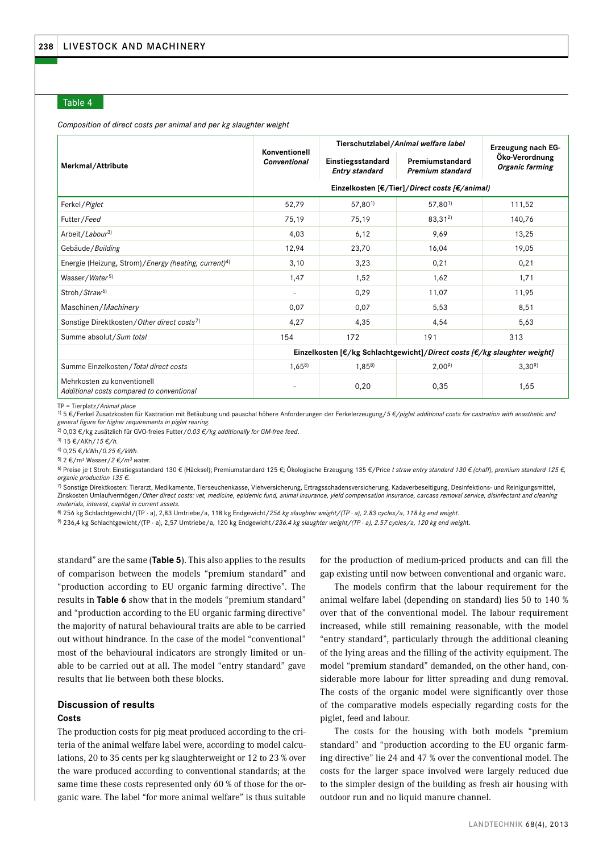# Table 4

#### *Composition of direct costs per animal and per kg slaughter weight*

|                                                                           | Konventionell                                                                                  | Tierschutzlabel/Animal welfare label       | Erzeugung nach EG-                            |                                   |  |
|---------------------------------------------------------------------------|------------------------------------------------------------------------------------------------|--------------------------------------------|-----------------------------------------------|-----------------------------------|--|
| Merkmal/Attribute                                                         | <b>Conventional</b>                                                                            | Einstiegsstandard<br><b>Entry standard</b> | Premiumstandard<br><b>Premium standard</b>    | Öko-Verordnung<br>Organic farming |  |
|                                                                           |                                                                                                |                                            | Einzelkosten [€/Tier]/Direct costs [€/animal) |                                   |  |
| Ferkel / Piglet                                                           | 52,79                                                                                          | $57,80^{1}$                                | $57,80^{1}$                                   | 111,52                            |  |
| Futter/Feed                                                               | 75,19                                                                                          | 75,19                                      | $83,31^{2}$                                   | 140,76                            |  |
| Arbeit/Labour <sup>3)</sup>                                               | 4,03                                                                                           | 6,12                                       | 9,69                                          | 13,25                             |  |
| Gebäude / Building                                                        | 12,94                                                                                          | 23,70                                      | 16,04                                         | 19,05                             |  |
| Energie (Heizung, Strom)/ <i>Energy (heating, current</i> ) <sup>4)</sup> | 3,10                                                                                           | 3,23                                       | 0,21                                          | 0,21                              |  |
| Wasser/Water <sup>5)</sup>                                                | 1,47                                                                                           | 1,52                                       | 1,62                                          | 1,71                              |  |
| Stroh/Straw <sup>6)</sup>                                                 | $\sim$                                                                                         | 0,29                                       | 11,07                                         | 11,95                             |  |
| Maschinen/Machinery                                                       | 0,07                                                                                           | 0,07                                       | 5,53                                          | 8,51                              |  |
| Sonstige Direktkosten/Other direct costs <sup>7)</sup>                    | 4,27                                                                                           | 4,35                                       | 4,54                                          | 5,63                              |  |
| Summe absolut/Sum total                                                   | 154                                                                                            | 172                                        | 191                                           | 313                               |  |
|                                                                           | Einzelkosten [ $\epsilon$ /kg Schlachtgewicht]/Direct costs [ $\epsilon$ /kg slaughter weight] |                                            |                                               |                                   |  |
| Summe Einzelkosten / Total direct costs                                   | 1,658                                                                                          | $1,85^{8}$                                 | 2,00 <sup>9</sup>                             | 3,30 <sup>9</sup>                 |  |
| Mehrkosten zu konventionell<br>Additional costs compared to conventional  |                                                                                                | 0,20                                       | 0,35                                          | 1,65                              |  |

TP = Tierplatz/*Animal place* 

1) 5 €/Ferkel Zusatzkosten für Kastration mit Betäubung und pauschal höhere Anforderungen der Ferkelerzeugung/*5 €/piglet additional costs for castration with anasthetic and general figure for higher requirements in piglet rearing.*

2) 0,03 €/kg zusätzlich für GVO-freies Futter/*0.03 €/kg additionally for GM-free feed*.

3) 15 €/AKh/*15 €/h.*

4) 0,25 €/kWh/*0.25 €/kWh.*

5) 2 €/m³ Wasser/*2 €/m3 wate*r.

6) Preise je t Stroh: Einstiegsstandard 130 € (Häcksel); Premiumstandard 125 €; Ökologische Erzeugung 135 €/Price *t straw entry standard 130 € (chaff), premium standard 125 €, organic production 135 €*.

7) Sonstige Direktkosten: Tierarzt, Medikamente, Tierseuchenkasse, Viehversicherung, Ertragsschadensversicherung, Kadaverbeseitigung, Desinfektions- und Reinigungsmittel, Zinskosten Umlaufvermögen/*Other direct costs: vet, medicine, epidemic fund, animal insurance, yield compensation insurance, carcass removal service, disinfectant and cleaning materials, interest, capital in current assets.*

8) 256 kg Schlachtgewicht/(TP · a), 2,83 Umtriebe/a, 118 kg Endgewicht/*256 kg slaughter weight/(TP · a), 2.83 cycles/a, 118 kg end weight*.

9) 236,4 kg Schlachtgewicht/(TP · a), 2,57 Umtriebe/a, 120 kg Endgewicht/*236.4 kg slaughter weight/(TP · a), 2.57 cycles/a, 120 kg end weigh*t.

standard" are the same (**Table 5**). This also applies to the results of comparison between the models "premium standard" and "production according to EU organic farming directive". The results in **Table 6** show that in the models "premium standard" and "production according to the EU organic farming directive" the majority of natural behavioural traits are able to be carried out without hindrance. In the case of the model "conventional" most of the behavioural indicators are strongly limited or unable to be carried out at all. The model "entry standard" gave results that lie between both these blocks.

# **Discussion of results**

# **Costs**

The production costs for pig meat produced according to the criteria of the animal welfare label were, according to model calculations, 20 to 35 cents per kg slaughterweight or 12 to 23 % over the ware produced according to conventional standards; at the same time these costs represented only 60 % of those for the organic ware. The label "for more animal welfare" is thus suitable for the production of medium-priced products and can fill the gap existing until now between conventional and organic ware.

The models confirm that the labour requirement for the animal welfare label (depending on standard) lies 50 to 140 % over that of the conventional model. The labour requirement increased, while still remaining reasonable, with the model "entry standard", particularly through the additional cleaning of the lying areas and the filling of the activity equipment. The model "premium standard" demanded, on the other hand, considerable more labour for litter spreading and dung removal. The costs of the organic model were significantly over those of the comparative models especially regarding costs for the piglet, feed and labour.

The costs for the housing with both models "premium standard" and "production according to the EU organic farming directive" lie 24 and 47 % over the conventional model. The costs for the larger space involved were largely reduced due to the simpler design of the building as fresh air housing with outdoor run and no liquid manure channel.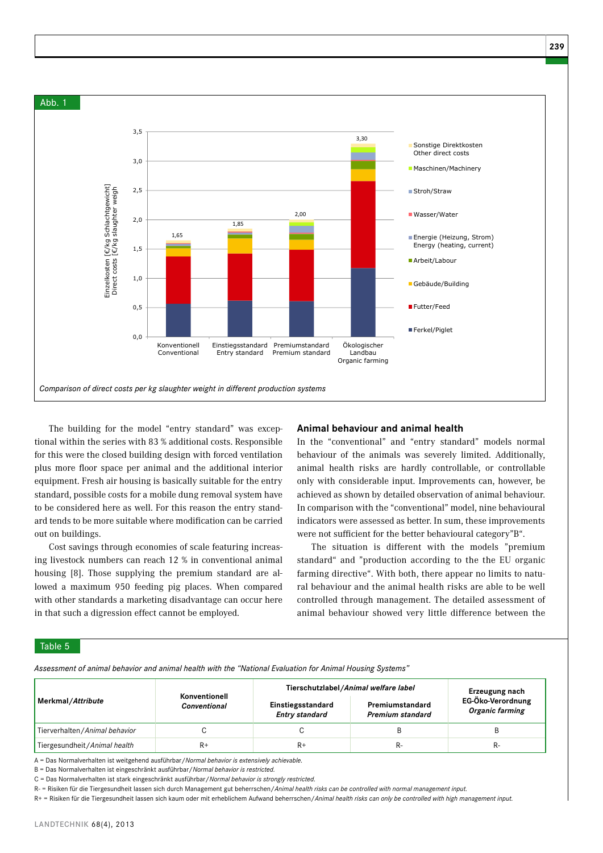

The building for the model "entry standard" was exceptional within the series with 83 % additional costs. Responsible for this were the closed building design with forced ventilation plus more floor space per animal and the additional interior equipment. Fresh air housing is basically suitable for the entry standard, possible costs for a mobile dung removal system have to be considered here as well. For this reason the entry standard tends to be more suitable where modification can be carried out on buildings.

Cost savings through economies of scale featuring increasing livestock numbers can reach 12 % in conventional animal housing [8]. Those supplying the premium standard are allowed a maximum 950 feeding pig places. When compared with other standards a marketing disadvantage can occur here in that such a digression effect cannot be employed.

# **Animal behaviour and animal health**

In the "conventional" and "entry standard" models normal behaviour of the animals was severely limited. Additionally, animal health risks are hardly controllable, or controllable only with considerable input. Improvements can, however, be achieved as shown by detailed observation of animal behaviour. In comparison with the "conventional" model, nine behavioural indicators were assessed as better. In sum, these improvements were not sufficient for the better behavioural category"B".

The situation is different with the models "premium standard" and "production according to the the EU organic farming directive". With both, there appear no limits to natural behaviour and the animal health risks are able to be well controlled through management. The detailed assessment of animal behaviour showed very little difference between the

## Table 5

*Assessment of animal behavior and animal health with the "National Evaluation for Animal Housing Systems"*

|                               | Konventionell       | Tierschutzlabel/Animal welfare label                                              | Erzeugung nach                       |    |
|-------------------------------|---------------------|-----------------------------------------------------------------------------------|--------------------------------------|----|
| Merkmal/Attribute             | <b>Conventional</b> | Einstiegsstandard<br>Premiumstandard<br><b>Entry standard</b><br>Premium standard | EG-Öko-Verordnung<br>Organic farming |    |
| Tierverhalten/Animal behavior |                     |                                                                                   |                                      |    |
| Tiergesundheit/Animal health  | $R+$                | $R+$                                                                              |                                      | R- |

A = Das Normalverhalten ist weitgehend ausführbar/*Normal behavior is extensively achievable.*

B = Das Normalverhalten ist eingeschränkt ausführbar/*Normal behavior is restricted.*

C = Das Normalverhalten ist stark eingeschränkt ausführbar/*Normal behavior is strongly restricted.*

R- = Risiken für die Tiergesundheit lassen sich durch Management gut beherrschen/*Animal health risks can be controlled with normal management input.*

R+ = Risiken für die Tiergesundheit lassen sich kaum oder mit erheblichem Aufwand beherrschen/*Animal health risks can only be controlled with high management input.*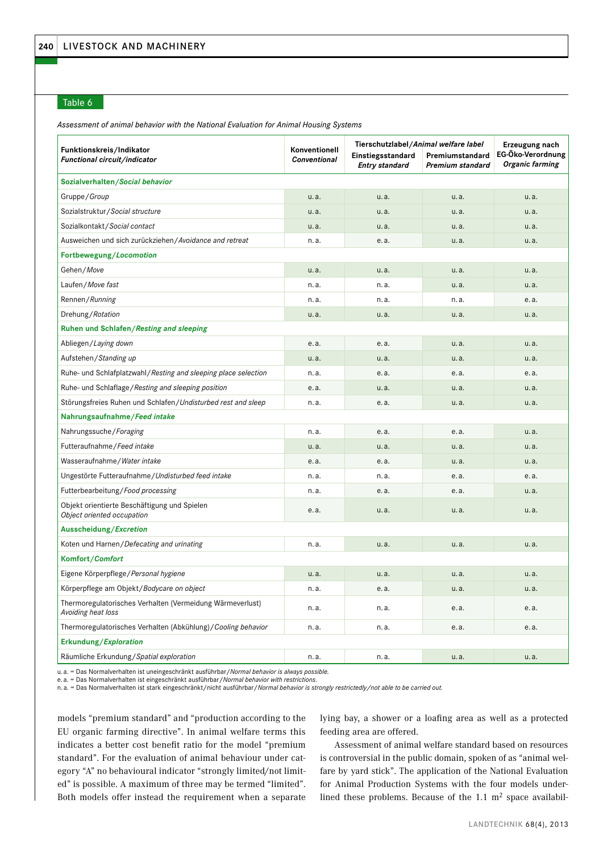# Table 6

*Assessment of animal behavior with the National Evaluation for Animal Housing Systems*

| Funktionskreis/Indikator<br>Functional circuit/indicator                        | Konventionell<br><b>Conventional</b> | Tierschutzlabel/Animal welfare label<br>Einstiegsstandard<br>Entry standard | Premiumstandard<br>Premium standard | Erzeugung nach<br>EG-Öko-Verordnung<br>Organic farming |
|---------------------------------------------------------------------------------|--------------------------------------|-----------------------------------------------------------------------------|-------------------------------------|--------------------------------------------------------|
| Sozialverhalten/Social behavior                                                 |                                      |                                                                             |                                     |                                                        |
| Gruppe/Group                                                                    | u.a.                                 | u.a.                                                                        | u.a.                                | u.a.                                                   |
| Sozialstruktur/Social structure                                                 | u.a.                                 | u.a.                                                                        | u.a.                                | u.a.                                                   |
| Sozialkontakt/Social contact                                                    | u.a.                                 | u.a.                                                                        | u.a.                                | u.a.                                                   |
| Ausweichen und sich zurückziehen/Avoidance and retreat                          | n.a.                                 | e.a.                                                                        | u.a.                                | u.a.                                                   |
| Fortbewegung/Locomotion                                                         |                                      |                                                                             |                                     |                                                        |
| Gehen/Move                                                                      | u.a.                                 | u.a.                                                                        | u.a.                                | u.a.                                                   |
| Laufen/Move fast                                                                | n. a.                                | n.a.                                                                        | u.a.                                | u.a.                                                   |
| Rennen/Running                                                                  | n.a.                                 | n.a.                                                                        | n.a.                                | e.a.                                                   |
| Drehung/Rotation                                                                | u.a.                                 | u.a.                                                                        | u.a.                                | u.a.                                                   |
| Ruhen und Schlafen/Resting and sleeping                                         |                                      |                                                                             |                                     |                                                        |
| Abliegen/Laying down                                                            | e.a.                                 | e.a.                                                                        | u.a.                                | u.a.                                                   |
| Aufstehen / Standing up                                                         | u.a.                                 | u.a.                                                                        | u.a.                                | u.a.                                                   |
| Ruhe- und Schlafplatzwahl/Resting and sleeping place selection                  | n.a.                                 | e.a.                                                                        | e.a.                                | e.a.                                                   |
| Ruhe- und Schlaflage/Resting and sleeping position                              | e.a.                                 | u.a.                                                                        | u.a.                                | u.a.                                                   |
| Störungsfreies Ruhen und Schlafen/Undisturbed rest and sleep                    | n.a.                                 | e.a.                                                                        | u.a.                                | u.a.                                                   |
| Nahrungsaufnahme/Feed intake                                                    |                                      |                                                                             |                                     |                                                        |
| Nahrungssuche/Foraging                                                          | n.a.                                 | e.a.                                                                        | e.a.                                | u.a.                                                   |
| Futteraufnahme / Feed intake                                                    | u.a.                                 | u.a.                                                                        | u.a.                                | u.a.                                                   |
| Wasseraufnahme / Water intake                                                   | e.a.                                 | e.a.                                                                        | u.a.                                | u.a.                                                   |
| Ungestörte Futteraufnahme/Undisturbed feed intake                               | n.a.                                 | n.a.                                                                        | e.a.                                | e.a.                                                   |
| Futterbearbeitung/Food processing                                               | n.a.                                 | e.a.                                                                        | e.a.                                | u.a.                                                   |
| Objekt orientierte Beschäftigung und Spielen<br>Object oriented occupation      | e.a.                                 | u.a.                                                                        | u.a.                                | u.a.                                                   |
| Ausscheidung/Excretion                                                          |                                      |                                                                             |                                     |                                                        |
| Koten und Harnen/Defecating and urinating                                       | n.a.                                 | u.a.                                                                        | u.a.                                | u.a.                                                   |
| Komfort/Comfort                                                                 |                                      |                                                                             |                                     |                                                        |
| Eigene Körperpflege / Personal hygiene                                          | u.a.                                 | u.a.                                                                        | u.a.                                | u.a.                                                   |
| Körperpflege am Objekt/Bodycare on object                                       | n.a.                                 | e.a.                                                                        | u.a.                                | u.a.                                                   |
| Thermoregulatorisches Verhalten (Vermeidung Wärmeverlust)<br>Avoiding heat loss | n.a.                                 | n.a.                                                                        | e.a.                                | e.a.                                                   |
| Thermoregulatorisches Verhalten (Abkühlung) / Cooling behavior                  | n.a.                                 | n.a.                                                                        | e.a.                                | e.a.                                                   |
| Erkundung/Exploration                                                           |                                      |                                                                             |                                     |                                                        |
| Räumliche Erkundung/Spatial exploration                                         | n.a.                                 | n.a.                                                                        | u.a.                                | u.a.                                                   |

u. a. = Das Normalverhalten ist uneingeschränkt ausführbar/*Normal behavior is always possible.*

e. a. = Das Normalverhalten ist eingeschränkt ausführbar/*Normal behavior with restrictions*.

n. a. = Das Normalverhalten ist stark eingeschränkt/nicht ausführbar/*Normal behavior is strongly restrictedly/not able to be carried out.*

models "premium standard" and "production according to the EU organic farming directive". In animal welfare terms this indicates a better cost benefit ratio for the model "premium standard". For the evaluation of animal behaviour under category "A" no behavioural indicator "strongly limited/not limited" is possible. A maximum of three may be termed "limited". Both models offer instead the requirement when a separate

lying bay, a shower or a loafing area as well as a protected feeding area are offered.

Assessment of animal welfare standard based on resources is controversial in the public domain, spoken of as "animal welfare by yard stick". The application of the National Evaluation for Animal Production Systems with the four models underlined these problems. Because of the  $1.1 \text{ m}^2$  space availabil